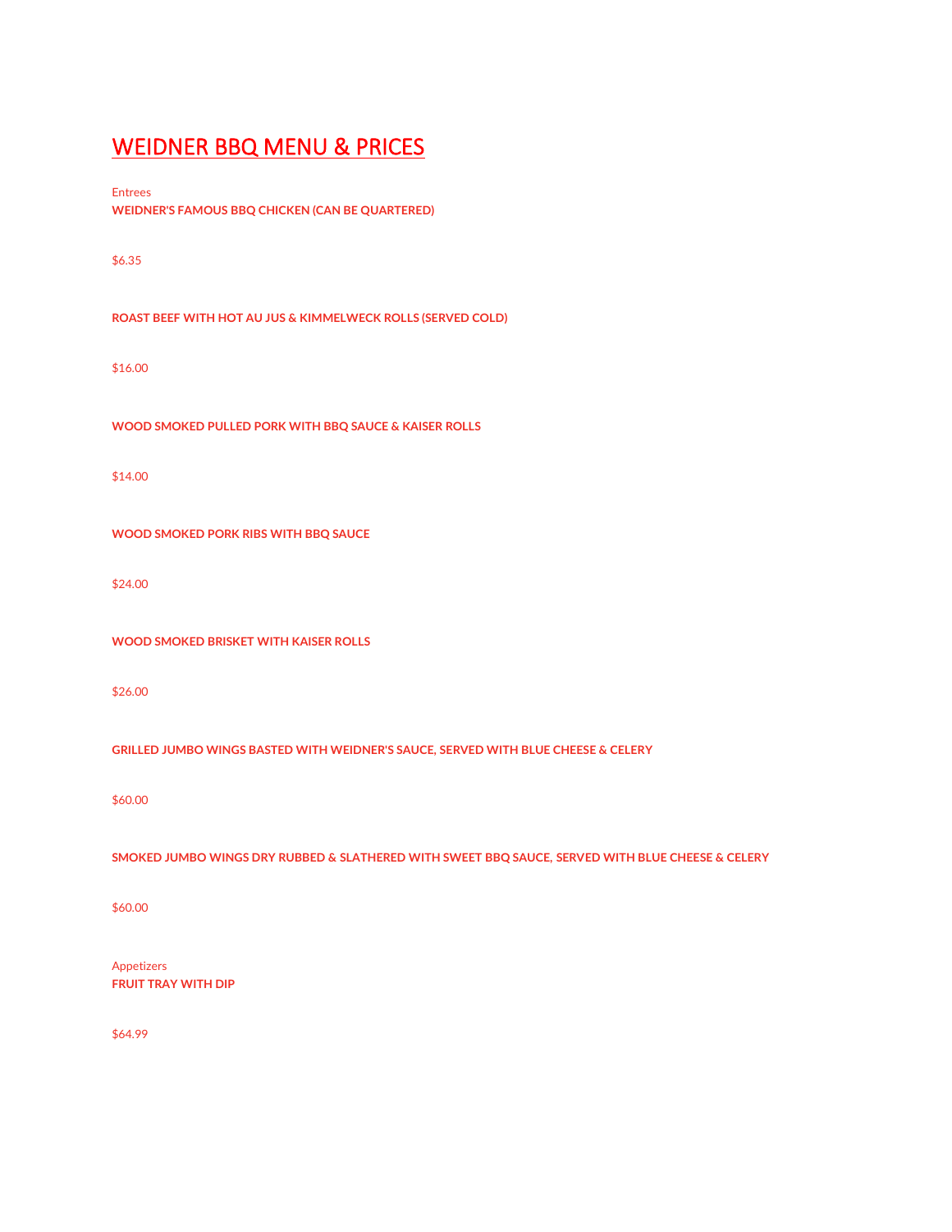# [WEIDNER BBQ MENU & PRICES](https://wnybbq.com/files/2022/03/Weidner_BBQ_Menu_(2).pdf)

Entrees **WEIDNER'S FAMOUS BBQ CHICKEN (CAN BE QUARTERED)**

\$6.35

**ROAST BEEF WITH HOT AU JUS & KIMMELWECK ROLLS (SERVED COLD)**

\$16.00

**WOOD SMOKED PULLED PORK WITH BBQ SAUCE & KAISER ROLLS**

\$14.00

**WOOD SMOKED PORK RIBS WITH BBQ SAUCE**

\$24.00

**WOOD SMOKED BRISKET WITH KAISER ROLLS**

\$26.00

**GRILLED JUMBO WINGS BASTED WITH WEIDNER'S SAUCE, SERVED WITH BLUE CHEESE & CELERY**

\$60.00

**SMOKED JUMBO WINGS DRY RUBBED & SLATHERED WITH SWEET BBQ SAUCE, SERVED WITH BLUE CHEESE & CELERY**

\$60.00

Appetizers **FRUIT TRAY WITH DIP**

\$64.99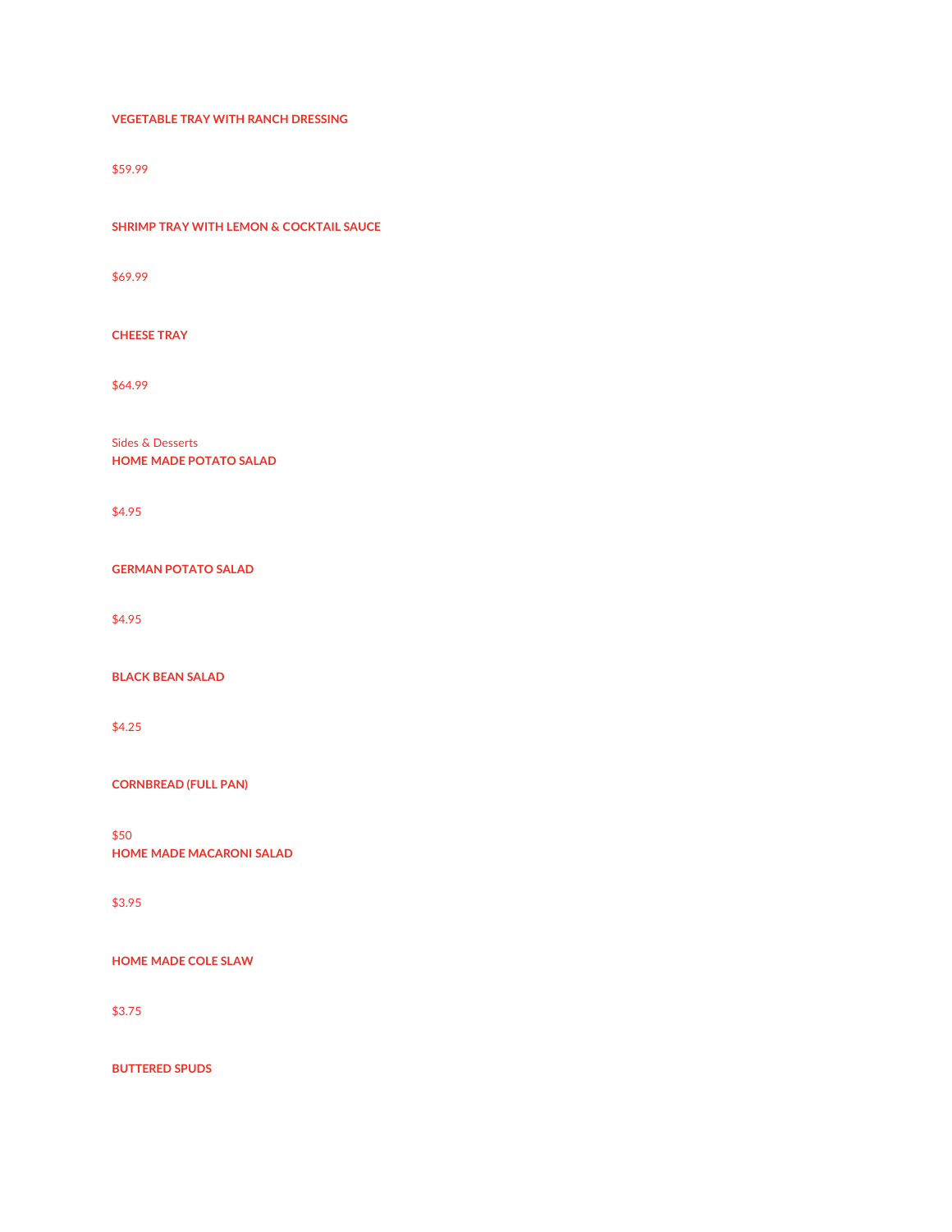#### **VEGETABLE TRAY WITH RANCH DRESSING**

\$59.99

**SHRIMP TRAY WITH LEMON & COCKTAIL SAUCE**

\$69.99

**CHEESE TRAY**

\$64.99

Sides & Desserts **HOME MADE POTATO SALAD**

\$4.95

**GERMAN POTATO SALAD**

\$4.95

**BLACK BEAN SALAD**

\$4.25

**CORNBREAD (FULL PAN)**

\$50 **HOME MADE MACARONI SALAD**

\$3.95

**HOME MADE COLE SLAW**

\$3.75

**BUTTERED SPUDS**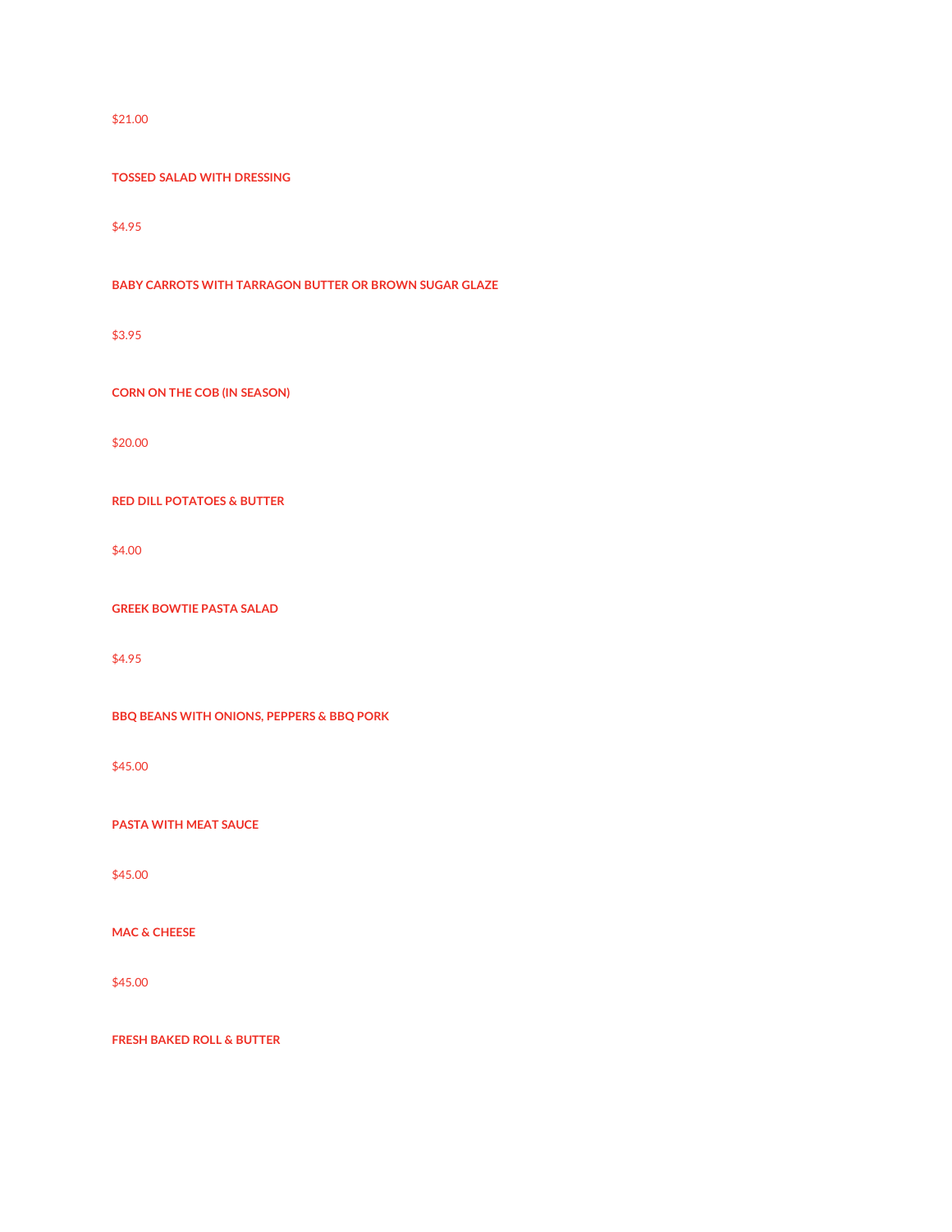## \$21.00

#### **TOSSED SALAD WITH DRESSING**

\$4.95

**BABY CARROTS WITH TARRAGON BUTTER OR BROWN SUGAR GLAZE**

\$3.95

**CORN ON THE COB (IN SEASON)**

\$20.00

**RED DILL POTATOES & BUTTER**

\$4.00

**GREEK BOWTIE PASTA SALAD**

\$4.95

**BBQ BEANS WITH ONIONS, PEPPERS & BBQ PORK**

\$45.00

**PASTA WITH MEAT SAUCE**

\$45.00

**MAC & CHEESE**

\$45.00

**FRESH BAKED ROLL & BUTTER**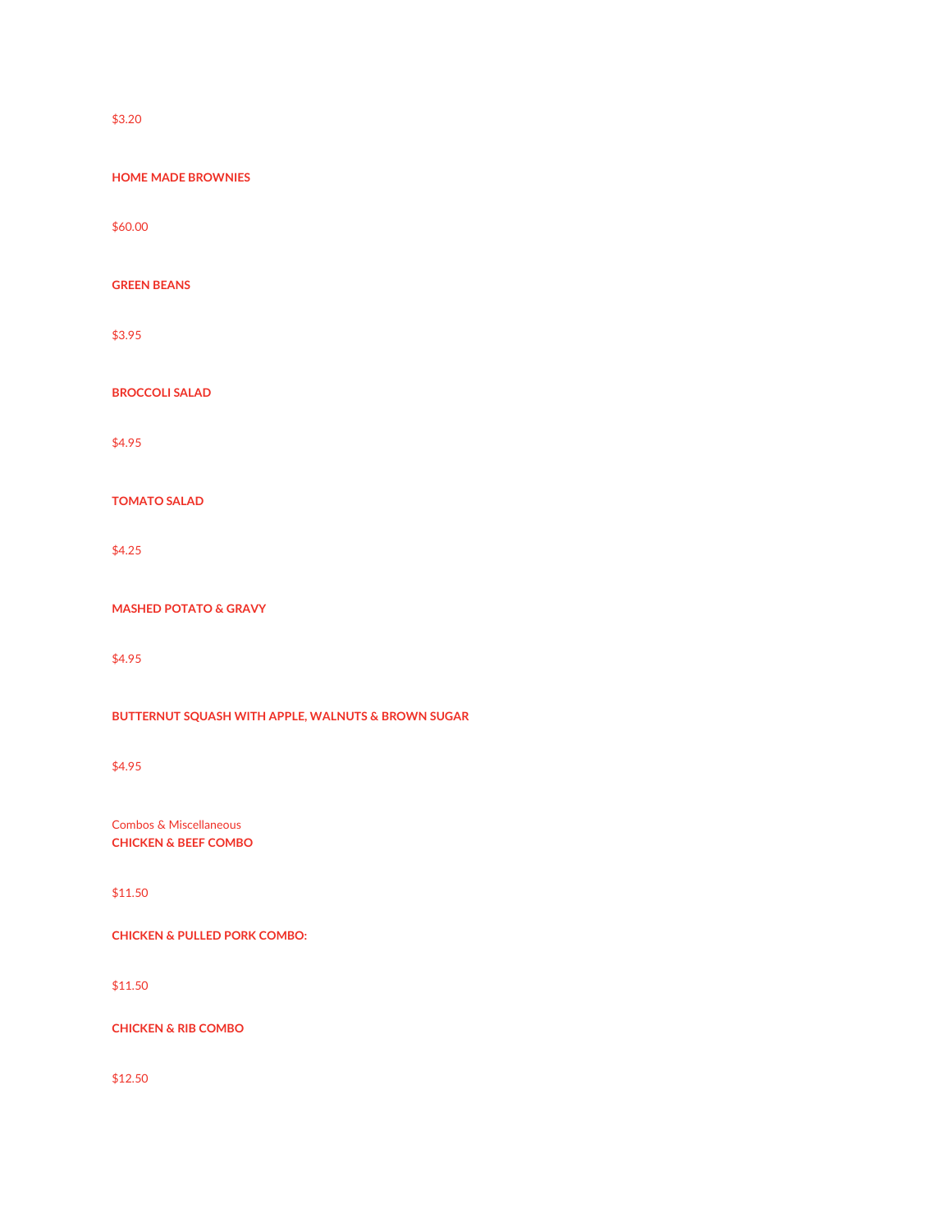\$3.20

**HOME MADE BROWNIES**

\$60.00

**GREEN BEANS**

\$3.95

**BROCCOLI SALAD**

\$4.95

**TOMATO SALAD**

\$4.25

**MASHED POTATO & GRAVY**

\$4.95

**BUTTERNUT SQUASH WITH APPLE, WALNUTS & BROWN SUGAR**

\$4.95

Combos & Miscellaneous **CHICKEN & BEEF COMBO**

\$11.50

**CHICKEN & PULLED PORK COMBO:**

\$11.50

**CHICKEN & RIB COMBO**

\$12.50